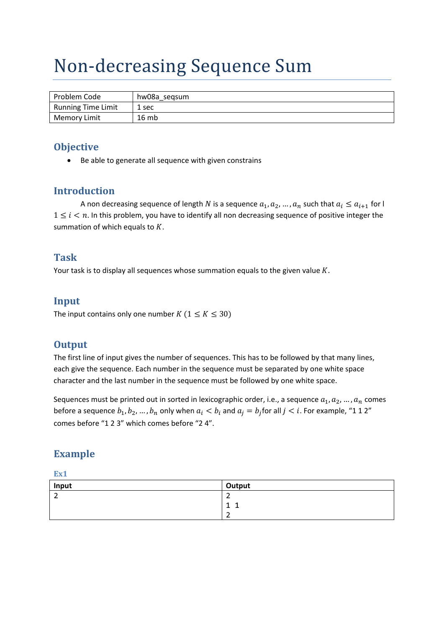# Non‐decreasing Sequence Sum

| Problem Code              | hw08a segsum |
|---------------------------|--------------|
| <b>Running Time Limit</b> | 1 sec        |
| <b>Memory Limit</b>       | 16 mb        |

## **Objective**

• Be able to generate all sequence with given constrains

## **Introduction**

A non decreasing sequence of length N is a sequence  $a_1, a_2, ..., a_n$  such that  $a_i \le a_{i+1}$  for l  $1 \leq i \leq n$ . In this problem, you have to identify all non decreasing sequence of positive integer the summation of which equals to  $K$ .

#### **Task**

Your task is to display all sequences whose summation equals to the given value  $K$ .

#### **Input**

The input contains only one number  $K$  ( $1 \le K \le 30$ )

#### **Output**

The first line of input gives the number of sequences. This has to be followed by that many lines, each give the sequence. Each number in the sequence must be separated by one white space character and the last number in the sequence must be followed by one white space.

Sequences must be printed out in sorted in lexicographic order, i.e., a sequence  $a_1, a_2, ..., a_n$  comes before a sequence  $b_1, b_2, ..., b_n$  only when  $a_i < b_i$  and  $a_i = b_i$  for all  $j < i$ . For example, "1 1 2" comes before "1 2 3" which comes before "2 4".

# **Example**

| Input | Output        |
|-------|---------------|
| -     | ←             |
|       | ۰<br>÷<br>÷   |
|       | -<br><u>.</u> |